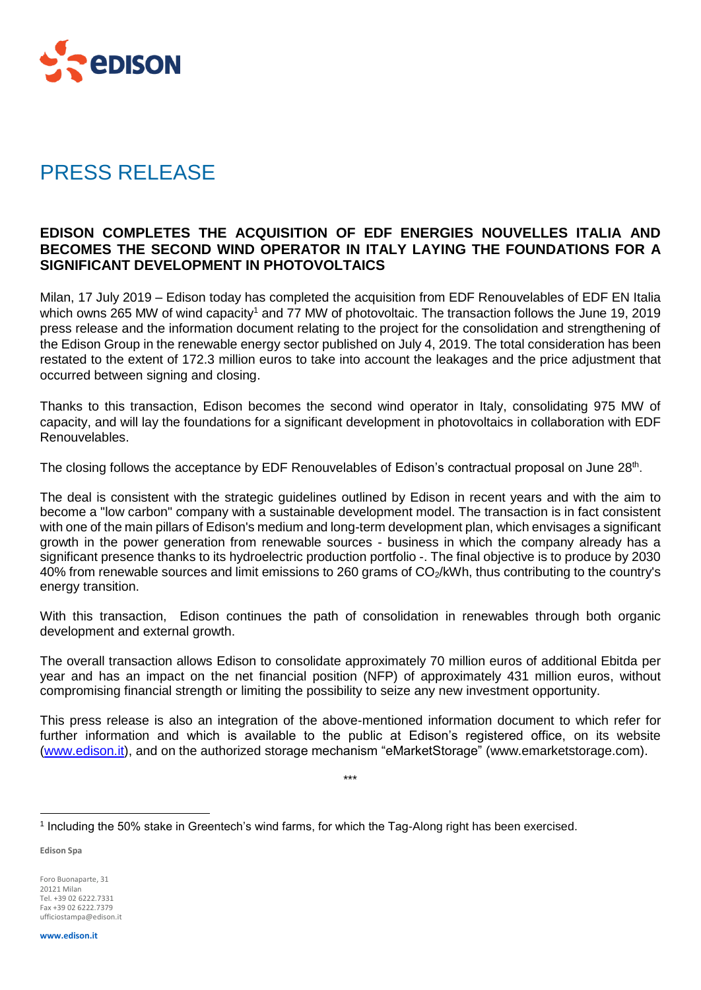

## PRESS RELEASE

## **EDISON COMPLETES THE ACQUISITION OF EDF ENERGIES NOUVELLES ITALIA AND BECOMES THE SECOND WIND OPERATOR IN ITALY LAYING THE FOUNDATIONS FOR A SIGNIFICANT DEVELOPMENT IN PHOTOVOLTAICS**

Milan, 17 July 2019 – Edison today has completed the acquisition from EDF Renouvelables of EDF EN Italia which owns 265 MW of wind capacity<sup>1</sup> and 77 MW of photovoltaic. The transaction follows the June 19, 2019 press release and the information document relating to the project for the consolidation and strengthening of the Edison Group in the renewable energy sector published on July 4, 2019. The total consideration has been restated to the extent of 172.3 million euros to take into account the leakages and the price adjustment that occurred between signing and closing.

Thanks to this transaction, Edison becomes the second wind operator in Italy, consolidating 975 MW of capacity, and will lay the foundations for a significant development in photovoltaics in collaboration with EDF Renouvelables.

The closing follows the acceptance by EDF Renouvelables of Edison's contractual proposal on June 28<sup>th</sup>.

The deal is consistent with the strategic guidelines outlined by Edison in recent years and with the aim to become a "low carbon" company with a sustainable development model. The transaction is in fact consistent with one of the main pillars of Edison's medium and long-term development plan, which envisages a significant growth in the power generation from renewable sources - business in which the company already has a significant presence thanks to its hydroelectric production portfolio -. The final objective is to produce by 2030 40% from renewable sources and limit emissions to 260 grams of CO2/kWh, thus contributing to the country's energy transition.

With this transaction, Edison continues the path of consolidation in renewables through both organic development and external growth.

The overall transaction allows Edison to consolidate approximately 70 million euros of additional Ebitda per year and has an impact on the net financial position (NFP) of approximately 431 million euros, without compromising financial strength or limiting the possibility to seize any new investment opportunity.

This press release is also an integration of the above-mentioned information document to which refer for further information and which is available to the public at Edison's registered office, on its website [\(www.edison.it\)](http://www.edison.it/), and on the authorized storage mechanism "eMarketStorage" (www.emarketstorage.com).

\*\*\*

**Edison Spa**

Foro Buonaparte, 31 20121 Milan Tel. +39 02 6222.7331 Fax +39 02 6222.7379 ufficiostampa@edison.it

<sup>1</sup> Including the 50% stake in Greentech's wind farms, for which the Tag-Along right has been exercised.